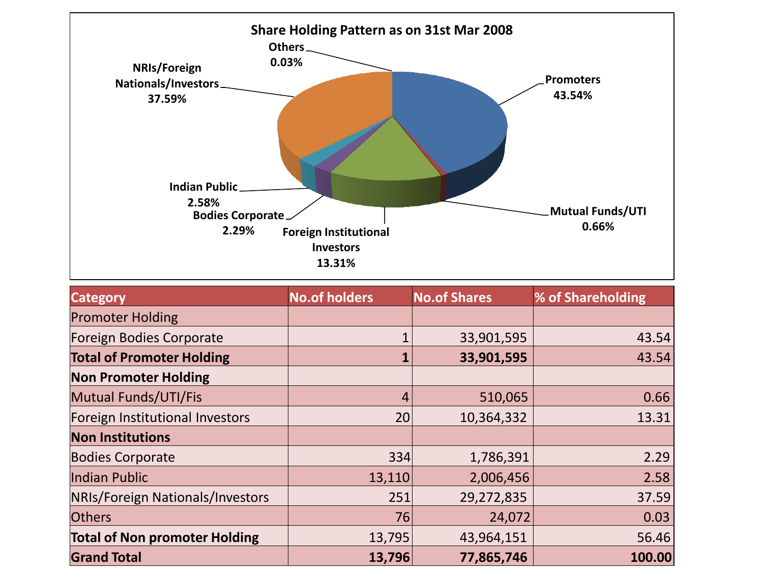

| <b>Category</b>                         | <b>No.of holders</b> | <b>No.of Shares</b> | % of Shareholding |
|-----------------------------------------|----------------------|---------------------|-------------------|
| <b>Promoter Holding</b>                 |                      |                     |                   |
| Foreign Bodies Corporate                |                      | 33,901,595          | 43.54             |
| <b>Total of Promoter Holding</b>        |                      | 33,901,595          | 43.54             |
| <b>Non Promoter Holding</b>             |                      |                     |                   |
| Mutual Funds/UTI/Fis                    | 4                    | 510,065             | 0.66              |
| Foreign Institutional Investors         | 20                   | 10,364,332          | 13.31             |
| <b>Non Institutions</b>                 |                      |                     |                   |
| <b>Bodies Corporate</b>                 | 334                  | 1,786,391           | 2.29              |
| Indian Public                           | 13,110               | 2,006,456           | 2.58              |
| <b>NRIs/Foreign Nationals/Investors</b> | 251                  | 29,272,835          | 37.59             |
| <b>Others</b>                           | 76                   | 24,072              | 0.03              |
| <b>Total of Non promoter Holding</b>    | 13,795               | 43,964,151          | 56.46             |
| <b>Grand Total</b>                      | 13,796               | 77,865,746          | 100.00            |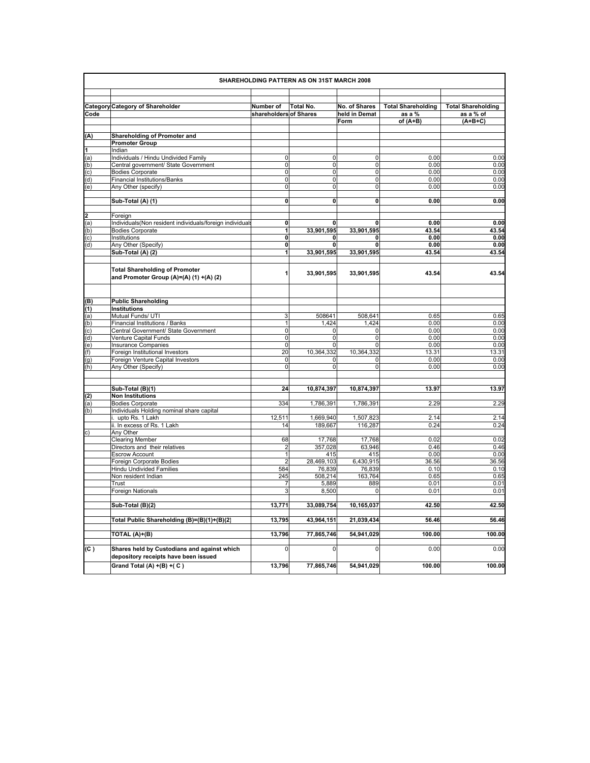|                                                  | SHAREHOLDING PATTERN AS ON 31ST MARCH 2008               |                        |                  |                 |                           |                           |
|--------------------------------------------------|----------------------------------------------------------|------------------------|------------------|-----------------|---------------------------|---------------------------|
|                                                  | <b>Category Category of Shareholder</b>                  | Number of              | <b>Total No.</b> | No. of Shares   | <b>Total Shareholding</b> | <b>Total Shareholding</b> |
| Code                                             |                                                          | shareholders of Shares |                  | held in Demat   | as a %                    | as a % of                 |
|                                                  |                                                          |                        |                  | Form            | of $(A+B)$                | $(A+B+C)$                 |
|                                                  |                                                          |                        |                  |                 |                           |                           |
| (A)                                              | Shareholding of Promoter and                             |                        |                  |                 |                           |                           |
|                                                  | <b>Promoter Group</b>                                    |                        |                  |                 |                           |                           |
| $\frac{1}{(a)}$<br>$\frac{(b)}{(b)}$             | Indian                                                   |                        |                  |                 |                           |                           |
|                                                  | Individuals / Hindu Undivided Family                     | $\Omega$               | 0                | $\mathbf 0$     | 0.00                      | 0.00                      |
|                                                  | Central government/ State Government                     | $\overline{0}$         | $\overline{0}$   | $\overline{0}$  | 0.00                      | 0.00                      |
|                                                  | <b>Bodies Corporate</b>                                  | $\overline{0}$         | $\mathbf 0$      | $\Omega$        | 0.00                      | 0.00                      |
|                                                  | <b>Financial Institutions/Banks</b>                      | $\mathbf 0$            | $\mathbf 0$      | $\pmb{0}$       | 0.00                      | 0.00                      |
| (e)                                              | Any Other (specify)                                      | $\overline{0}$         | $\overline{0}$   | $\pmb{0}$       | 0.00                      | 0.00                      |
|                                                  |                                                          |                        |                  |                 |                           |                           |
|                                                  | Sub-Total (A) (1)                                        | 0                      | $\mathbf{0}$     | 0               | 0.00                      | 0.00                      |
|                                                  |                                                          |                        |                  |                 |                           |                           |
|                                                  | Foreign                                                  |                        |                  |                 |                           |                           |
|                                                  | Individuals(Non resident individuals/foreign individuals | O                      | $\mathbf{0}$     | 0               | 0.00                      | 0.00                      |
| $\frac{2}{\frac{1}{2}}$<br>(c) $\frac{1}{2}$     | <b>Bodies Corporate</b>                                  | $\mathbf{1}$           | 33,901,595       | 33,901,595      | 43.54                     | 43.54                     |
|                                                  | Institutions                                             | O                      | 0                | 0               | 0.00                      | 0.00                      |
|                                                  | Any Other (Specify)                                      | O                      | 0                | O               | 0.00                      | 0.00                      |
|                                                  | Sub-Total (A) (2)                                        | 1                      | 33,901,595       | 33,901,595      | 43.54                     | 43.54                     |
|                                                  |                                                          |                        |                  |                 |                           |                           |
|                                                  | <b>Total Shareholding of Promoter</b>                    |                        | 33,901,595       | 33,901,595      | 43.54                     | 43.54                     |
|                                                  | and Promoter Group (A)=(A) (1) +(A) (2)                  |                        |                  |                 |                           |                           |
|                                                  |                                                          |                        |                  |                 |                           |                           |
|                                                  |                                                          |                        |                  |                 |                           |                           |
|                                                  | <b>Public Shareholding</b>                               |                        |                  |                 |                           |                           |
| $\frac{(B)}{(1)}$<br>(1) (a) (b) (c) (c) (e) (f) | Institutions                                             |                        |                  |                 |                           |                           |
|                                                  | Mutual Funds/ UTI                                        | 3                      | 508641           | 508,641         | 0.65                      | 0.65                      |
|                                                  | Financial Institutions / Banks                           | $\mathbf{1}$           | 1,424            | 1,424           | 0.00                      | 0.00                      |
|                                                  | Central Government/ State Government                     | $\Omega$               | $\mathbf 0$      | $\mathbf 0$     | 0.00                      | 0.00                      |
|                                                  | Venture Capital Funds                                    | $\overline{0}$         | $\overline{0}$   | $\mathbf 0$     | 0.00                      | 0.00                      |
|                                                  | <b>Insurance Companies</b>                               | $\overline{0}$         | $\mathbf 0$      | $\mathbf 0$     | 0.00                      | 0.00                      |
|                                                  | Foreign Institutional Investors                          | 20                     | 10,364,332       | 10,364,332      | 13.31                     | 13.31                     |
| (g)                                              | Foreign Venture Capital Investors                        | $\mathbf 0$            | $\mathbf 0$      | $\Omega$        | 0.00                      | 0.00                      |
| (h)                                              | Any Other (Specify)                                      | $\overline{0}$         | $\mathbf 0$      | $\mathbf 0$     | 0.00                      | 0.00                      |
|                                                  |                                                          |                        |                  |                 |                           |                           |
|                                                  |                                                          |                        |                  |                 |                           |                           |
|                                                  | Sub-Total (B)(1)                                         | 24                     | 10,874,397       | 10,874,397      | 13.97                     | 13.97                     |
| $\binom{2}{a}$                                   | <b>Non Institutions</b>                                  |                        |                  |                 |                           |                           |
|                                                  | <b>Bodies Corporate</b>                                  | 334                    | 1,786,391        | 1,786,391       | 2.29                      | 2.29                      |
| (b)                                              | Individuals Holding nominal share capital                |                        |                  |                 |                           |                           |
|                                                  | upto Rs. 1 Lakh                                          | 12,511                 | 1,669,940        | 1,507,823       | 2.14                      | 2.14                      |
|                                                  | ii. In excess of Rs. 1 Lakh                              | 14                     | 189,667          | 116,287         | 0.24                      | 0.24                      |
| c)                                               | Any Other                                                |                        |                  |                 |                           |                           |
|                                                  | <b>Clearing Member</b>                                   | 68                     | 17,768           | 17,768          | 0.02                      | 0.02                      |
|                                                  | Directors and their relatives                            | $\overline{2}$         | 357,028          | 63,946          | 0.46                      | 0.46                      |
|                                                  | <b>Escrow Account</b>                                    | $\mathbf{1}$           | 415              | 415             | 0.00                      | 0.00                      |
|                                                  | Foreign Corporate Bodies                                 | $\overline{2}$         | 28,469,103       | 6,430,915       | 36.56                     | 36.56                     |
|                                                  | <b>Hindu Undivided Families</b>                          | 584                    | 76,839           | 76,839          | 0.10                      | 0.10                      |
|                                                  | Non resident Indian                                      | 245                    | 508,214          | 163,764         | 0.65                      | 0.65                      |
|                                                  | Trust<br>Foreign Nationals                               | 7<br>3                 | 5,889<br>8,500   | 889<br>$\Omega$ | 0.01<br>0.01              | 0.01<br>0.01              |
|                                                  |                                                          |                        |                  |                 |                           |                           |
|                                                  | Sub-Total (B)(2)                                         | 13,771                 | 33,089,754       | 10,165,037      | 42.50                     | 42.50                     |
|                                                  |                                                          |                        |                  |                 |                           |                           |
|                                                  | Total Public Shareholding (B)=(B)(1)+(B)(2)              | 13,795                 | 43,964,151       | 21,039,434      | 56.46                     | 56.46                     |
|                                                  |                                                          |                        |                  |                 |                           |                           |
|                                                  | TOTAL (A)+(B)                                            | 13,796                 | 77,865,746       | 54,941,029      | 100.00                    | 100.00                    |
|                                                  |                                                          |                        |                  |                 |                           |                           |
| C)                                               | Shares held by Custodians and against which              | 0                      | $\mathbf 0$      | $\mathbf 0$     | 0.00                      | 0.00                      |
|                                                  | depository receipts have been issued                     |                        |                  |                 |                           |                           |
|                                                  | Grand Total (A) +(B) +(C)                                | 13,796                 | 77,865,746       | 54,941,029      | 100.00                    | 100.00                    |
|                                                  |                                                          |                        |                  |                 |                           |                           |